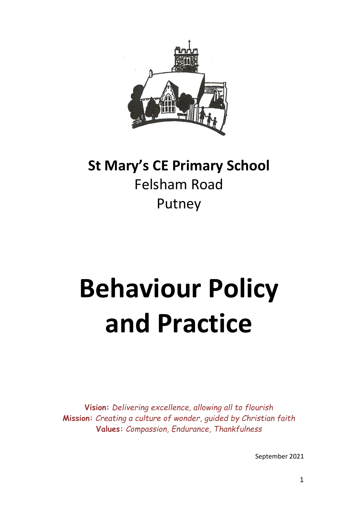

# **St Mary's CE Primary School** Felsham Road Putney

# **Behaviour Policy and Practice**

**Vision:** *Delivering excellence, allowing all to flourish* **Mission:** *Creating a culture of wonder, guided by Christian faith* **Values:** *Compassion, Endurance, Thankfulness*

September 2021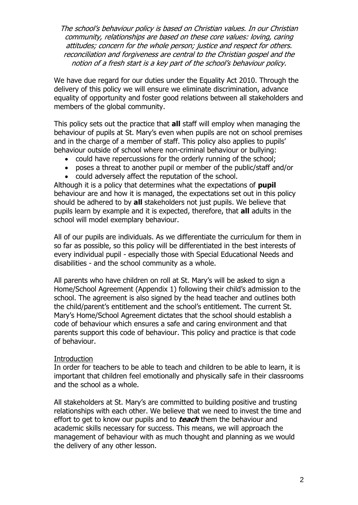The school's behaviour policy is based on Christian values. In our Christian community, relationships are based on these core values: loving, caring attitudes; concern for the whole person; justice and respect for others. reconciliation and forgiveness are central to the Christian gospel and the notion of a fresh start is a key part of the school's behaviour policy.

We have due regard for our duties under the Equality Act 2010. Through the delivery of this policy we will ensure we eliminate discrimination, advance equality of opportunity and foster good relations between all stakeholders and members of the global community.

This policy sets out the practice that **all** staff will employ when managing the behaviour of pupils at St. Mary's even when pupils are not on school premises and in the charge of a member of staff. This policy also applies to pupils' behaviour outside of school where non-criminal behaviour or bullying:

- could have repercussions for the orderly running of the school;
- poses a threat to another pupil or member of the public/staff and/or
- could adversely affect the reputation of the school.

Although it is a policy that determines what the expectations of **pupil** behaviour are and how it is managed, the expectations set out in this policy should be adhered to by **all** stakeholders not just pupils. We believe that pupils learn by example and it is expected, therefore, that **all** adults in the school will model exemplary behaviour.

All of our pupils are individuals. As we differentiate the curriculum for them in so far as possible, so this policy will be differentiated in the best interests of every individual pupil - especially those with Special Educational Needs and disabilities - and the school community as a whole.

All parents who have children on roll at St. Mary's will be asked to sign a Home/School Agreement (Appendix 1) following their child's admission to the school. The agreement is also signed by the head teacher and outlines both the child/parent's entitlement and the school's entitlement. The current St. Mary's Home/School Agreement dictates that the school should establish a code of behaviour which ensures a safe and caring environment and that parents support this code of behaviour. This policy and practice is that code of behaviour.

#### **Introduction**

In order for teachers to be able to teach and children to be able to learn, it is important that children feel emotionally and physically safe in their classrooms and the school as a whole.

All stakeholders at St. Mary's are committed to building positive and trusting relationships with each other. We believe that we need to invest the time and effort to get to know our pupils and to **teach** them the behaviour and academic skills necessary for success. This means, we will approach the management of behaviour with as much thought and planning as we would the delivery of any other lesson.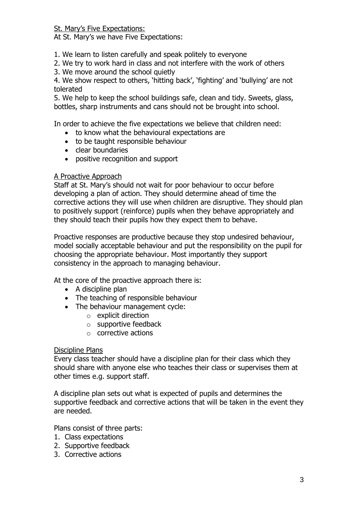St. Mary's Five Expectations:

At St. Mary's we have Five Expectations:

- 1. We learn to listen carefully and speak politely to everyone
- 2. We try to work hard in class and not interfere with the work of others
- 3. We move around the school quietly

4. We show respect to others, 'hitting back', 'fighting' and 'bullying' are not tolerated

5. We help to keep the school buildings safe, clean and tidy. Sweets, glass, bottles, sharp instruments and cans should not be brought into school.

In order to achieve the five expectations we believe that children need:

- to know what the behavioural expectations are
- to be taught responsible behaviour
- clear boundaries
- positive recognition and support

#### A Proactive Approach

Staff at St. Mary's should not wait for poor behaviour to occur before developing a plan of action. They should determine ahead of time the corrective actions they will use when children are disruptive. They should plan to positively support (reinforce) pupils when they behave appropriately and they should teach their pupils how they expect them to behave.

Proactive responses are productive because they stop undesired behaviour, model socially acceptable behaviour and put the responsibility on the pupil for choosing the appropriate behaviour. Most importantly they support consistency in the approach to managing behaviour.

At the core of the proactive approach there is:

- $\bullet$  A discipline plan
- The teaching of responsible behaviour
- The behaviour management cycle:
	- o explicit direction
	- o supportive feedback
	- o corrective actions

#### Discipline Plans

Every class teacher should have a discipline plan for their class which they should share with anyone else who teaches their class or supervises them at other times e.g. support staff.

A discipline plan sets out what is expected of pupils and determines the supportive feedback and corrective actions that will be taken in the event they are needed.

Plans consist of three parts:

- 1. Class expectations
- 2. Supportive feedback
- 3. Corrective actions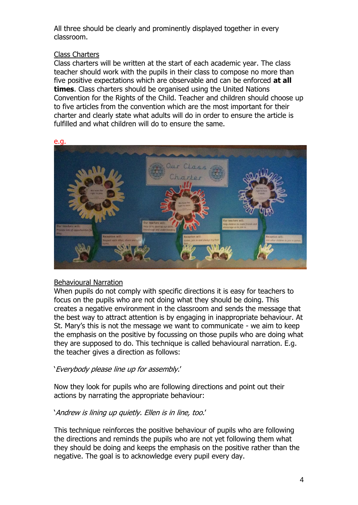All three should be clearly and prominently displayed together in every classroom.

#### Class Charters

Class charters will be written at the start of each academic year. The class teacher should work with the pupils in their class to compose no more than five positive expectations which are observable and can be enforced **at all times**. Class charters should be organised using the United Nations Convention for the Rights of the Child. Teacher and children should choose up to five articles from the convention which are the most important for their charter and clearly state what adults will do in order to ensure the article is fulfilled and what children will do to ensure the same.



#### Behavioural Narration

When pupils do not comply with specific directions it is easy for teachers to focus on the pupils who are not doing what they should be doing. This creates a negative environment in the classroom and sends the message that the best way to attract attention is by engaging in inappropriate behaviour. At St. Mary's this is not the message we want to communicate - we aim to keep the emphasis on the positive by focussing on those pupils who are doing what they are supposed to do. This technique is called behavioural narration. E.g. the teacher gives a direction as follows:

#### 'Everybody please line up for assembly.'

Now they look for pupils who are following directions and point out their actions by narrating the appropriate behaviour:

#### 'Andrew is lining up quietly. Ellen is in line, too.'

This technique reinforces the positive behaviour of pupils who are following the directions and reminds the pupils who are not yet following them what they should be doing and keeps the emphasis on the positive rather than the negative. The goal is to acknowledge every pupil every day.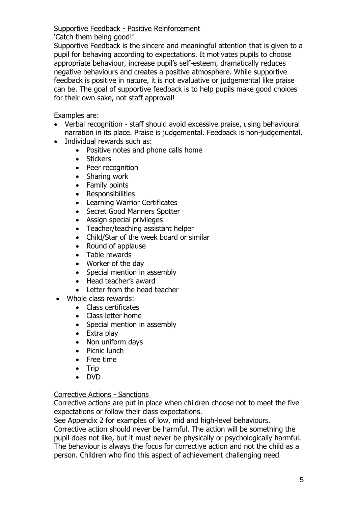#### Supportive Feedback - Positive Reinforcement

#### 'Catch them being good!'

Supportive Feedback is the sincere and meaningful attention that is given to a pupil for behaving according to expectations. It motivates pupils to choose appropriate behaviour, increase pupil's self-esteem, dramatically reduces negative behaviours and creates a positive atmosphere. While supportive feedback is positive in nature, it is not evaluative or judgemental like praise can be. The goal of supportive feedback is to help pupils make good choices for their own sake, not staff approval!

Examples are:

- Verbal recognition staff should avoid excessive praise, using behavioural narration in its place. Praise is judgemental. Feedback is non-judgemental.
- Individual rewards such as:
	- Positive notes and phone calls home
	- Stickers
	- Peer recognition
	- Sharing work
	- Family points
	- Responsibilities
	- Learning Warrior Certificates
	- Secret Good Manners Spotter
	- Assign special privileges
	- Teacher/teaching assistant helper
	- Child/Star of the week board or similar
	- Round of applause
	- Table rewards
	- Worker of the day
	- Special mention in assembly
	- Head teacher's award
	- Letter from the head teacher
- Whole class rewards:
	- Class certificates
	- Class letter home
	- Special mention in assembly
	- Extra play
	- Non uniform days
	- Picnic lunch
	- Free time
	- $\bullet$  Trip
	- DVD

### Corrective Actions - Sanctions

Corrective actions are put in place when children choose not to meet the five expectations or follow their class expectations.

See Appendix 2 for examples of low, mid and high-level behaviours.

Corrective action should never be harmful. The action will be something the pupil does not like, but it must never be physically or psychologically harmful. The behaviour is always the focus for corrective action and not the child as a person. Children who find this aspect of achievement challenging need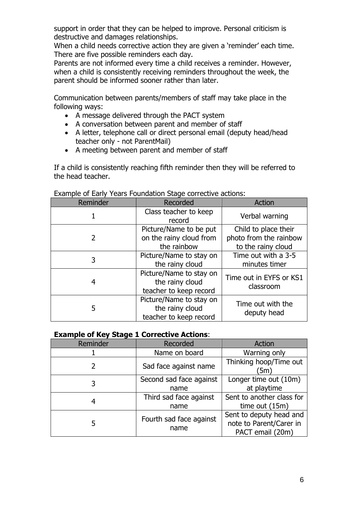support in order that they can be helped to improve. Personal criticism is destructive and damages relationships.

When a child needs corrective action they are given a 'reminder' each time. There are five possible reminders each day.

Parents are not informed every time a child receives a reminder. However, when a child is consistently receiving reminders throughout the week, the parent should be informed sooner rather than later.

Communication between parents/members of staff may take place in the following ways:

- A message delivered through the PACT system
- A conversation between parent and member of staff
- A letter, telephone call or direct personal email (deputy head/head teacher only - not ParentMail)
- A meeting between parent and member of staff

If a child is consistently reaching fifth reminder then they will be referred to the head teacher.

| Reminder | Recorded<br>Action                                                   |                                                                      |
|----------|----------------------------------------------------------------------|----------------------------------------------------------------------|
|          | Class teacher to keep<br>record                                      | Verbal warning                                                       |
| 2        | Picture/Name to be put<br>on the rainy cloud from<br>the rainbow     | Child to place their<br>photo from the rainbow<br>to the rainy cloud |
| 3        | Picture/Name to stay on<br>the rainy cloud                           | Time out with a 3-5<br>minutes timer                                 |
| 4        | Picture/Name to stay on<br>the rainy cloud<br>teacher to keep record | Time out in EYFS or KS1<br>classroom                                 |
| 5        | Picture/Name to stay on<br>the rainy cloud<br>teacher to keep record | Time out with the<br>deputy head                                     |

#### Example of Early Years Foundation Stage corrective actions:

#### **Example of Key Stage 1 Corrective Actions**:

| Reminder | Recorded                        | <b>Action</b>                                                          |  |
|----------|---------------------------------|------------------------------------------------------------------------|--|
|          | Name on board                   | Warning only                                                           |  |
| 2        | Sad face against name           | Thinking hoop/Time out<br>ั5m)                                         |  |
| 3        | Second sad face against<br>name | Longer time out (10m)<br>at playtime                                   |  |
| 4        | Third sad face against<br>name  | Sent to another class for<br>time out $(15m)$                          |  |
| 5        | Fourth sad face against<br>name | Sent to deputy head and<br>note to Parent/Carer in<br>PACT email (20m) |  |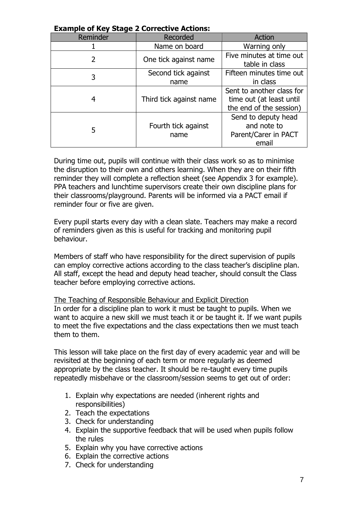| Example of Rey Stage Z Corrective Actions. |                             |                                                                                  |  |  |  |
|--------------------------------------------|-----------------------------|----------------------------------------------------------------------------------|--|--|--|
| Reminder                                   | Recorded                    | Action                                                                           |  |  |  |
|                                            | Name on board               | Warning only                                                                     |  |  |  |
| 2                                          | One tick against name       | Five minutes at time out<br>table in class                                       |  |  |  |
| 3                                          | Second tick against<br>name | Fifteen minutes time out<br>in class                                             |  |  |  |
| 4                                          | Third tick against name     | Sent to another class for<br>time out (at least until<br>the end of the session) |  |  |  |
| 5                                          | Fourth tick against<br>name | Send to deputy head<br>and note to<br>Parent/Carer in PACT<br>email              |  |  |  |

#### **Example of Key Stage 2 Corrective Actions:**

During time out, pupils will continue with their class work so as to minimise the disruption to their own and others learning. When they are on their fifth reminder they will complete a reflection sheet (see Appendix 3 for example). PPA teachers and lunchtime supervisors create their own discipline plans for their classrooms/playground. Parents will be informed via a PACT email if reminder four or five are given.

Every pupil starts every day with a clean slate. Teachers may make a record of reminders given as this is useful for tracking and monitoring pupil behaviour.

Members of staff who have responsibility for the direct supervision of pupils can employ corrective actions according to the class teacher's discipline plan. All staff, except the head and deputy head teacher, should consult the Class teacher before employing corrective actions.

The Teaching of Responsible Behaviour and Explicit Direction In order for a discipline plan to work it must be taught to pupils. When we want to acquire a new skill we must teach it or be taught it. If we want pupils to meet the five expectations and the class expectations then we must teach them to them.

This lesson will take place on the first day of every academic year and will be revisited at the beginning of each term or more regularly as deemed appropriate by the class teacher. It should be re-taught every time pupils repeatedly misbehave or the classroom/session seems to get out of order:

- 1. Explain why expectations are needed (inherent rights and responsibilities)
- 2. Teach the expectations
- 3. Check for understanding
- 4. Explain the supportive feedback that will be used when pupils follow the rules
- 5. Explain why you have corrective actions
- 6. Explain the corrective actions
- 7. Check for understanding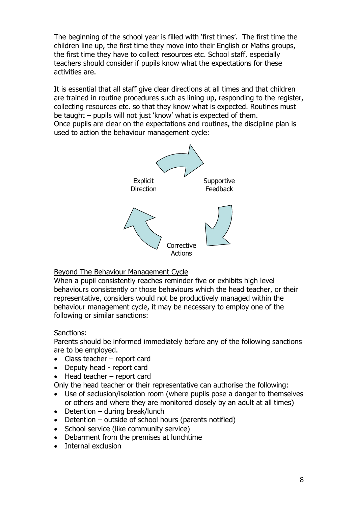The beginning of the school year is filled with 'first times'. The first time the children line up, the first time they move into their English or Maths groups, the first time they have to collect resources etc. School staff, especially teachers should consider if pupils know what the expectations for these activities are.

It is essential that all staff give clear directions at all times and that children are trained in routine procedures such as lining up, responding to the register, collecting resources etc. so that they know what is expected. Routines must be taught – pupils will not just 'know' what is expected of them. Once pupils are clear on the expectations and routines, the discipline plan is used to action the behaviour management cycle:



#### Beyond The Behaviour Management Cycle

When a pupil consistently reaches reminder five or exhibits high level behaviours consistently or those behaviours which the head teacher, or their representative, considers would not be productively managed within the behaviour management cycle, it may be necessary to employ one of the following or similar sanctions:

#### Sanctions:

Parents should be informed immediately before any of the following sanctions are to be employed.

- Class teacher report card
- Deputy head report card
- Head teacher report card

Only the head teacher or their representative can authorise the following:

- Use of seclusion/isolation room (where pupils pose a danger to themselves or others and where they are monitored closely by an adult at all times)
- $\bullet$  Detention during break/lunch
- $\bullet$  Detention outside of school hours (parents notified)
- School service (like community service)
- Debarment from the premises at lunchtime
- Internal exclusion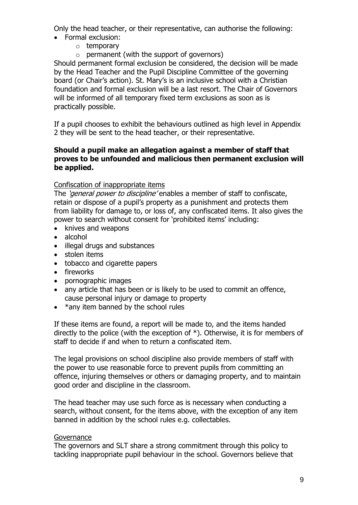Only the head teacher, or their representative, can authorise the following:

- Formal exclusion:
	- o temporary
	- $\circ$  permanent (with the support of governors)

Should permanent formal exclusion be considered, the decision will be made by the Head Teacher and the Pupil Discipline Committee of the governing board (or Chair's action). St. Mary's is an inclusive school with a Christian foundation and formal exclusion will be a last resort. The Chair of Governors will be informed of all temporary fixed term exclusions as soon as is practically possible.

If a pupil chooses to exhibit the behaviours outlined as high level in Appendix 2 they will be sent to the head teacher, or their representative.

#### **Should a pupil make an allegation against a member of staff that proves to be unfounded and malicious then permanent exclusion will be applied.**

#### Confiscation of inappropriate items

The 'general power to discipline' enables a member of staff to confiscate, retain or dispose of a pupil's property as a punishment and protects them from liability for damage to, or loss of, any confiscated items. It also gives the power to search without consent for 'prohibited items' including:

- knives and weapons
- alcohol
- illegal drugs and substances
- stolen items
- tobacco and cigarette papers
- fireworks
- pornographic images
- any article that has been or is likely to be used to commit an offence, cause personal injury or damage to property
- $*$ any item banned by the school rules

If these items are found, a report will be made to, and the items handed directly to the police (with the exception of \*). Otherwise, it is for members of staff to decide if and when to return a confiscated item.

The legal provisions on school discipline also provide members of staff with the power to use reasonable force to prevent pupils from committing an offence, injuring themselves or others or damaging property, and to maintain good order and discipline in the classroom.

The head teacher may use such force as is necessary when conducting a search, without consent, for the items above, with the exception of any item banned in addition by the school rules e.g. collectables.

#### Governance

The governors and SLT share a strong commitment through this policy to tackling inappropriate pupil behaviour in the school. Governors believe that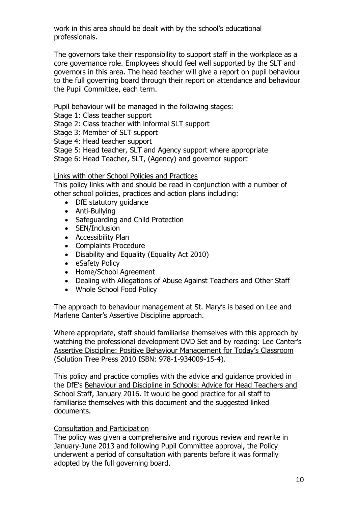work in this area should be dealt with by the school's educational professionals.

The governors take their responsibility to support staff in the workplace as a core governance role. Employees should feel well supported by the SLT and governors in this area. The head teacher will give a report on pupil behaviour to the full governing board through their report on attendance and behaviour the Pupil Committee, each term.

Pupil behaviour will be managed in the following stages:

- Stage 1: Class teacher support
- Stage 2: Class teacher with informal SLT support
- Stage 3: Member of SLT support
- Stage 4: Head teacher support
- Stage 5: Head teacher, SLT and Agency support where appropriate
- Stage 6: Head Teacher, SLT, (Agency) and governor support

#### Links with other School Policies and Practices

This policy links with and should be read in conjunction with a number of other school policies, practices and action plans including:

- DfE statutory quidance
- Anti-Bullying
- Safeguarding and Child Protection
- SEN/Inclusion
- Accessibility Plan
- Complaints Procedure
- Disability and Equality (Equality Act 2010)
- eSafety Policy
- Home/School Agreement
- Dealing with Allegations of Abuse Against Teachers and Other Staff
- Whole School Food Policy

The approach to behaviour management at St. Mary's is based on Lee and Marlene Canter's Assertive Discipline approach.

Where appropriate, staff should familiarise themselves with this approach by watching the professional development DVD Set and by reading: Lee Canter's Assertive Discipline: Positive Behaviour Management for Today's Classroom (Solution Tree Press 2010 ISBN: 978-1-934009-15-4).

This policy and practice complies with the advice and guidance provided in the DfE's Behaviour and Discipline in Schools: Advice for Head Teachers and School Staff, January 2016. It would be good practice for all staff to familiarise themselves with this document and the suggested linked documents.

#### Consultation and Participation

The policy was given a comprehensive and rigorous review and rewrite in January-June 2013 and following Pupil Committee approval, the Policy underwent a period of consultation with parents before it was formally adopted by the full governing board.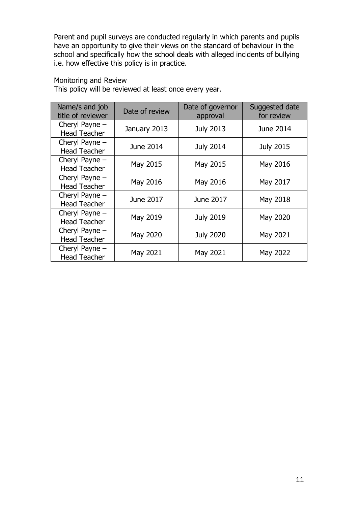Parent and pupil surveys are conducted regularly in which parents and pupils have an opportunity to give their views on the standard of behaviour in the school and specifically how the school deals with alleged incidents of bullying i.e. how effective this policy is in practice.

#### Monitoring and Review

| Name/s and job<br>title of reviewer     | Date of review | Date of governor<br>approval | Suggested date<br>for review |
|-----------------------------------------|----------------|------------------------------|------------------------------|
| Cheryl Payne $-$<br><b>Head Teacher</b> | January 2013   | <b>July 2013</b>             | June 2014                    |
| Cheryl Payne -<br><b>Head Teacher</b>   | June 2014      | <b>July 2014</b>             | <b>July 2015</b>             |
| Cheryl Payne -<br><b>Head Teacher</b>   | May 2015       | May 2015                     | May 2016                     |
| Cheryl Payne $-$<br><b>Head Teacher</b> | May 2016       | May 2016                     | May 2017                     |
| Cheryl Payne -<br><b>Head Teacher</b>   | June 2017      | June 2017                    | May 2018                     |
| Cheryl Payne -<br><b>Head Teacher</b>   | May 2019       | <b>July 2019</b>             | May 2020                     |
| Cheryl Payne $-$<br><b>Head Teacher</b> | May 2020       | <b>July 2020</b>             | May 2021                     |
| Cheryl Payne $-$<br><b>Head Teacher</b> | May 2021       | May 2021                     | May 2022                     |

This policy will be reviewed at least once every year.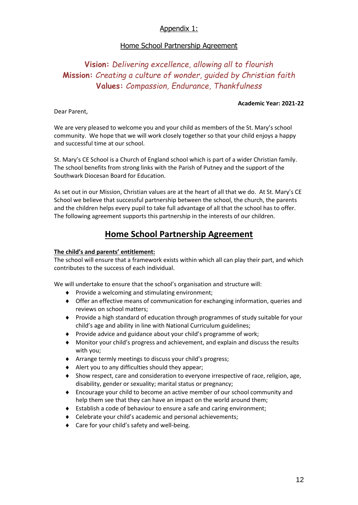#### Appendix 1:

#### Home School Partnership Agreement

# **Vision:** *Delivering excellence, allowing all to flourish* **Mission:** *Creating a culture of wonder, guided by Christian faith* **Values:** *Compassion, Endurance, Thankfulness*

#### **Academic Year: 2021-22**

Dear Parent,

We are very pleased to welcome you and your child as members of the St. Mary's school community. We hope that we will work closely together so that your child enjoys a happy and successful time at our school.

St. Mary's CE School is a Church of England school which is part of a wider Christian family. The school benefits from strong links with the Parish of Putney and the support of the Southwark Diocesan Board for Education.

As set out in our Mission, Christian values are at the heart of all that we do. At St. Mary's CE School we believe that successful partnership between the school, the church, the parents and the children helps every pupil to take full advantage of all that the school has to offer. The following agreement supports this partnership in the interests of our children.

## **Home School Partnership Agreement**

#### **The child's and parents' entitlement:**

The school will ensure that a framework exists within which all can play their part, and which contributes to the success of each individual.

We will undertake to ensure that the school's organisation and structure will:

- $\bullet$  Provide a welcoming and stimulating environment;
- Offer an effective means of communication for exchanging information, queries and reviews on school matters;
- Provide a high standard of education through programmes of study suitable for your child's age and ability in line with National Curriculum guidelines;
- ◆ Provide advice and guidance about your child's programme of work;
- Monitor your child's progress and achievement, and explain and discuss the results with you;
- Arrange termly meetings to discuss your child's progress;
- $\triangleleft$  Alert you to any difficulties should they appear;
- Show respect, care and consideration to everyone irrespective of race, religion, age, disability, gender or sexuality; marital status or pregnancy;
- Encourage your child to become an active member of our school community and help them see that they can have an impact on the world around them;
- Establish a code of behaviour to ensure a safe and caring environment;
- Celebrate your child's academic and personal achievements;
- ◆ Care for your child's safety and well-being.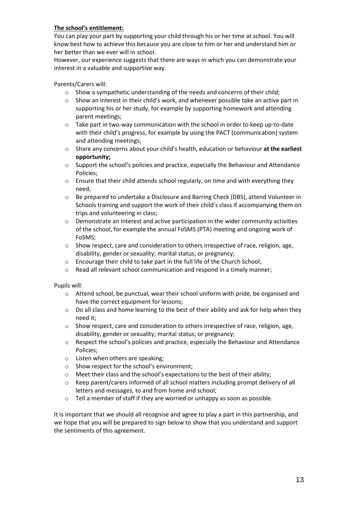#### **The school's entitlement:**

You can play your part by supporting your child through his or her time at school. You will know best how to achieve this because you are close to him or her and understand him or her better than we ever will in school.

However, our experience suggests that there are ways in which you can demonstrate your interest in a valuable and supportive way.

Parents/Carers will:

- o Show a sympathetic understanding of the needs and concerns of their child;
- o Show an interest in their child's work, and whenever possible take an active part in supporting his or her study, for example by supporting homework and attending parent meetings;
- o Take part in two-way communication with the school in order to keep up-to-date with their child's progress, for example by using the PACT (communication) system and attending meetings;
- o Share any concerns about your child's health, education or behaviour **at the earliest opportunity;**
- $\circ$  Support the school's policies and practice, especially the Behaviour and Attendance Policies;
- o Ensure that their child attends school regularly, on time and with everything they need;
- o Be prepared to undertake a Disclosure and Barring Check (DBS), attend Volunteer in Schools training and support the work of their child's class if accompanying them on trips and volunteering in class;
- o Demonstrate an interest and active participation in the wider community activities of the school, for example the annual FoSMS (PTA) meeting and ongoing work of FoSMS;
- o Show respect, care and consideration to others irrespective of race, religion, age, disability, gender or sexuality; marital status; or pregnancy;
- o Encourage their child to take part in the full life of the Church School;
- o Read all relevant school communication and respond in a timely manner;

Pupils will:

- o Attend school, be punctual, wear their school uniform with pride, be organised and have the correct equipment for lessons;
- o Do all class and home learning to the best of their ability and ask for help when they need it;
- $\circ$  Show respect, care and consideration to others irrespective of race, religion, age, disability, gender or sexuality; marital status; or pregnancy;
- o Respect the school's policies and practice, especially the Behaviour and Attendance Policies;
- o Listen when others are speaking;
- o Show respect for the school's environment;
- o Meet their class and the school's expectations to the best of their ability;
- o Keep parent/carers informed of all school matters including prompt delivery of all letters and messages, to and from home and school;
- o Tell a member of staff if they are worried or unhappy as soon as possible.

It is important that we should all recognise and agree to play a part in this partnership, and we hope that you will be prepared to sign below to show that you understand and support the sentiments of this agreement.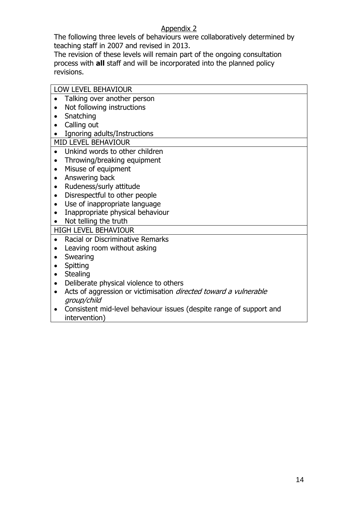#### Appendix 2

The following three levels of behaviours were collaboratively determined by teaching staff in 2007 and revised in 2013.

The revision of these levels will remain part of the ongoing consultation process with **all** staff and will be incorporated into the planned policy revisions.

| <b>LOW LEVEL BEHAVIOUR</b>                                                                          |
|-----------------------------------------------------------------------------------------------------|
| Talking over another person                                                                         |
| Not following instructions<br>$\bullet$                                                             |
| Snatching                                                                                           |
| Calling out<br>$\bullet$                                                                            |
| Ignoring adults/Instructions                                                                        |
| <b>MID LEVEL BEHAVIOUR</b>                                                                          |
| Unkind words to other children                                                                      |
| Throwing/breaking equipment<br>$\bullet$                                                            |
| Misuse of equipment<br>$\bullet$                                                                    |
| Answering back<br>$\bullet$                                                                         |
| Rudeness/surly attitude<br>$\bullet$                                                                |
| Disrespectful to other people<br>$\bullet$                                                          |
| Use of inappropriate language<br>$\bullet$                                                          |
| Inappropriate physical behaviour<br>$\bullet$                                                       |
| Not telling the truth                                                                               |
| <b>HIGH LEVEL BEHAVIOUR</b>                                                                         |
| Racial or Discriminative Remarks<br>$\bullet$                                                       |
| Leaving room without asking<br>$\bullet$                                                            |
| Swearing                                                                                            |
| Spitting<br>$\bullet$                                                                               |
| <b>Stealing</b><br>$\bullet$                                                                        |
| Deliberate physical violence to others<br>$\bullet$                                                 |
| Acts of aggression or victimisation <i>directed toward a vulnerable</i><br>$\bullet$<br>group/child |
| Consistent mid-level behaviour issues (despite range of support and<br>٠<br>intervention)           |